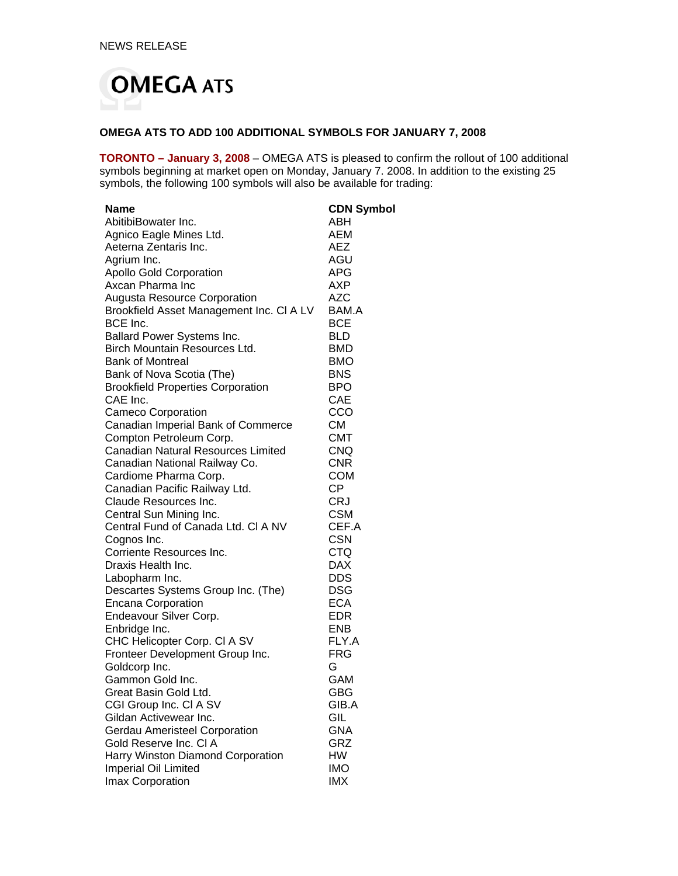

## **OMEGA ATS TO ADD 100 ADDITIONAL SYMBOLS FOR JANUARY 7, 2008**

**TORONTO – January 3, 2008** – OMEGA ATS is pleased to confirm the rollout of 100 additional symbols beginning at market open on Monday, January 7. 2008. In addition to the existing 25 symbols, the following 100 symbols will also be available for trading:

| <b>Name</b>                                             | <b>CDN Symbol</b>        |
|---------------------------------------------------------|--------------------------|
| AbitibiBowater Inc.                                     | ABH                      |
| Agnico Eagle Mines Ltd.                                 | AEM                      |
| Aeterna Zentaris Inc.                                   | <b>AEZ</b>               |
| Agrium Inc.                                             | AGU                      |
| <b>Apollo Gold Corporation</b>                          | APG                      |
| Axcan Pharma Inc                                        | AXP                      |
| <b>Augusta Resource Corporation</b>                     | <b>AZC</b>               |
| Brookfield Asset Management Inc. CI A LV                | BAM.A                    |
| BCE Inc.                                                | <b>BCE</b>               |
| Ballard Power Systems Inc.                              | <b>BLD</b>               |
| <b>Birch Mountain Resources Ltd.</b>                    | <b>BMD</b>               |
| <b>Bank of Montreal</b>                                 | <b>BMO</b>               |
| Bank of Nova Scotia (The)                               | <b>BNS</b>               |
| <b>Brookfield Properties Corporation</b>                | <b>BPO</b>               |
| CAE Inc.                                                | <b>CAE</b>               |
| <b>Cameco Corporation</b>                               | CCO                      |
| Canadian Imperial Bank of Commerce                      | СM                       |
| Compton Petroleum Corp.                                 | <b>CMT</b>               |
| <b>Canadian Natural Resources Limited</b>               | <b>CNQ</b>               |
| Canadian National Railway Co.                           | <b>CNR</b>               |
| Cardiome Pharma Corp.                                   | <b>COM</b>               |
| Canadian Pacific Railway Ltd.                           | <b>CP</b>                |
| Claude Resources Inc.                                   | <b>CRJ</b>               |
| Central Sun Mining Inc.                                 | <b>CSM</b>               |
| Central Fund of Canada Ltd. CI A NV                     | CEF.A                    |
| Cognos Inc.                                             | <b>CSN</b>               |
| Corriente Resources Inc.                                | <b>CTQ</b>               |
| Draxis Health Inc.                                      | <b>DAX</b>               |
| Labopharm Inc.                                          | <b>DDS</b>               |
| Descartes Systems Group Inc. (The)                      | <b>DSG</b>               |
| <b>Encana Corporation</b>                               | <b>ECA</b>               |
| Endeavour Silver Corp.                                  | <b>EDR</b>               |
| Enbridge Inc.                                           | <b>ENB</b>               |
| CHC Helicopter Corp. CI A SV                            | FLY.A                    |
| Fronteer Development Group Inc.                         | <b>FRG</b>               |
| Goldcorp Inc.                                           | G                        |
| Gammon Gold Inc.                                        | GAM                      |
| Great Basin Gold Ltd.                                   | GBG                      |
| CGI Group Inc. CI A SV                                  | GIB.A                    |
| Gildan Activewear Inc.                                  | GIL                      |
| Gerdau Ameristeel Corporation<br>Gold Reserve Inc. CI A | <b>GNA</b>               |
|                                                         | GRZ                      |
| Harry Winston Diamond Corporation                       | HW                       |
| Imperial Oil Limited                                    | <b>IMO</b><br><b>IMX</b> |
| Imax Corporation                                        |                          |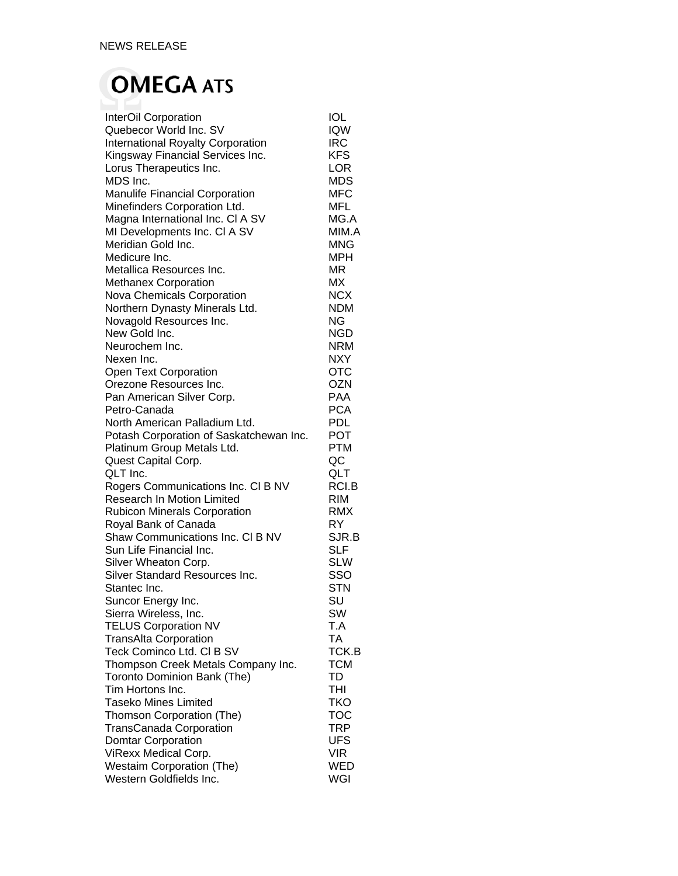## **OMEGA ATS**

| InterOil Corporation                     | <b>IOL</b> |
|------------------------------------------|------------|
| Quebecor World Inc. SV                   | <b>IQW</b> |
| <b>International Royalty Corporation</b> | IRC        |
| Kingsway Financial Services Inc.         | <b>KFS</b> |
| Lorus Therapeutics Inc.                  | <b>LOR</b> |
| MDS Inc.                                 | <b>MDS</b> |
| Manulife Financial Corporation           | MFC        |
| Minefinders Corporation Ltd.             | MFL        |
| Magna International Inc. CI A SV         | MG.A       |
| MI Developments Inc. CI A SV             | MIM.A      |
| Meridian Gold Inc.                       | <b>MNG</b> |
| Medicure Inc.                            | MPH        |
| Metallica Resources Inc.                 | <b>MR</b>  |
| <b>Methanex Corporation</b>              | МX         |
| Nova Chemicals Corporation               | <b>NCX</b> |
| Northern Dynasty Minerals Ltd.           | NDM        |
| Novagold Resources Inc.                  | NG         |
| New Gold Inc.                            | <b>NGD</b> |
| Neurochem Inc.                           | <b>NRM</b> |
| Nexen Inc.                               | <b>NXY</b> |
| Open Text Corporation                    | <b>OTC</b> |
| Orezone Resources Inc.                   | <b>OZN</b> |
| Pan American Silver Corp.                | PAA        |
| Petro-Canada                             | <b>PCA</b> |
| North American Palladium Ltd.            | <b>PDL</b> |
| Potash Corporation of Saskatchewan Inc.  | POT        |
| Platinum Group Metals Ltd.               | PTM        |
| Quest Capital Corp.                      | QC         |
| QLT Inc.                                 | QLT        |
| Rogers Communications Inc. CI B NV       | RCI.B      |
| <b>Research In Motion Limited</b>        | <b>RIM</b> |
| <b>Rubicon Minerals Corporation</b>      | <b>RMX</b> |
| Royal Bank of Canada                     | RY         |
| Shaw Communications Inc. CI B NV         | SJR.B      |
| Sun Life Financial Inc.                  | <b>SLF</b> |
| Silver Wheaton Corp.                     | <b>SLW</b> |
| <b>Silver Standard Resources Inc.</b>    | SSO        |
| Stantec Inc.                             | STN        |
| Suncor Energy Inc.                       | SU         |
| Sierra Wireless, Inc.                    | SW         |
| <b>TELUS Corporation NV</b>              | T.A        |
| <b>TransAlta Corporation</b>             | <b>TA</b>  |
| Teck Cominco Ltd. CI B SV                | TCK.B      |
| Thompson Creek Metals Company Inc.       | <b>TCM</b> |
| Toronto Dominion Bank (The)              | <b>TD</b>  |
| Tim Hortons Inc.                         | <b>THI</b> |
| <b>Taseko Mines Limited</b>              | <b>TKO</b> |
| Thomson Corporation (The)                | <b>TOC</b> |
| <b>TransCanada Corporation</b>           | <b>TRP</b> |
| <b>Domtar Corporation</b>                | <b>UFS</b> |
| ViRexx Medical Corp.                     | <b>VIR</b> |
| <b>Westaim Corporation (The)</b>         | WED        |
| Western Goldfields Inc.                  | WGI        |